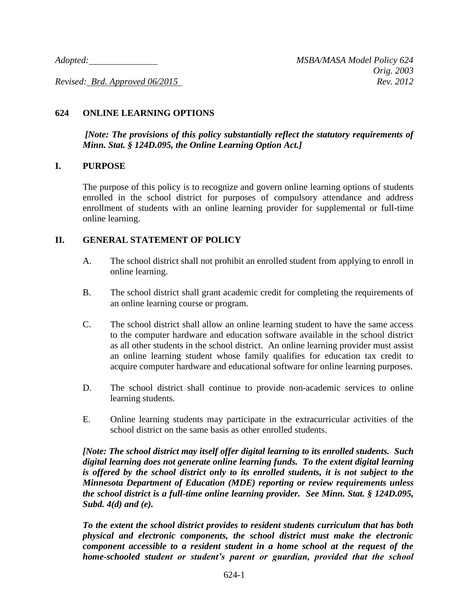*Revised: Brd. Approved 06/2015 Rev. 2012*

# **624 ONLINE LEARNING OPTIONS**

*[Note: The provisions of this policy substantially reflect the statutory requirements of Minn. Stat. § 124D.095, the Online Learning Option Act.]*

#### **I. PURPOSE**

The purpose of this policy is to recognize and govern online learning options of students enrolled in the school district for purposes of compulsory attendance and address enrollment of students with an online learning provider for supplemental or full-time online learning.

### **II. GENERAL STATEMENT OF POLICY**

- A. The school district shall not prohibit an enrolled student from applying to enroll in online learning.
- B. The school district shall grant academic credit for completing the requirements of an online learning course or program.
- C. The school district shall allow an online learning student to have the same access to the computer hardware and education software available in the school district as all other students in the school district. An online learning provider must assist an online learning student whose family qualifies for education tax credit to acquire computer hardware and educational software for online learning purposes.
- D. The school district shall continue to provide non-academic services to online learning students.
- E. Online learning students may participate in the extracurricular activities of the school district on the same basis as other enrolled students.

*[Note: The school district may itself offer digital learning to its enrolled students. Such digital learning does not generate online learning funds. To the extent digital learning is offered by the school district only to its enrolled students, it is not subject to the Minnesota Department of Education (MDE) reporting or review requirements unless the school district is a full-time online learning provider. See Minn. Stat. § 124D.095, Subd. 4(d) and (e).*

*To the extent the school district provides to resident students curriculum that has both physical and electronic components, the school district must make the electronic component accessible to a resident student in a home school at the request of the home-schooled student or student's parent or guardian, provided that the school*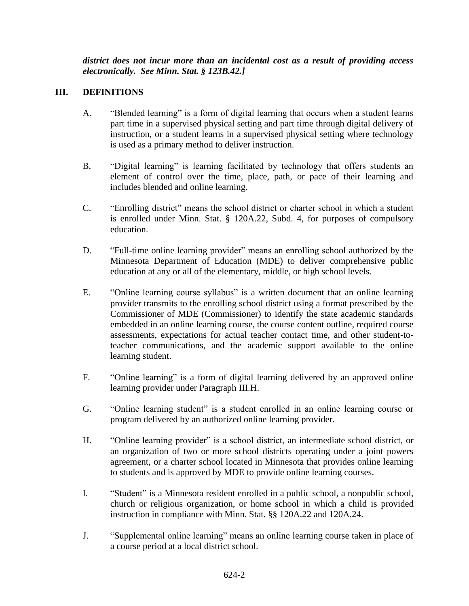*district does not incur more than an incidental cost as a result of providing access electronically. See Minn. Stat. § 123B.42.]*

# **III. DEFINITIONS**

- A. "Blended learning" is a form of digital learning that occurs when a student learns part time in a supervised physical setting and part time through digital delivery of instruction, or a student learns in a supervised physical setting where technology is used as a primary method to deliver instruction.
- B. "Digital learning" is learning facilitated by technology that offers students an element of control over the time, place, path, or pace of their learning and includes blended and online learning.
- C. "Enrolling district" means the school district or charter school in which a student is enrolled under Minn. Stat. § 120A.22, Subd. 4, for purposes of compulsory education.
- D. "Full-time online learning provider" means an enrolling school authorized by the Minnesota Department of Education (MDE) to deliver comprehensive public education at any or all of the elementary, middle, or high school levels.
- E. "Online learning course syllabus" is a written document that an online learning provider transmits to the enrolling school district using a format prescribed by the Commissioner of MDE (Commissioner) to identify the state academic standards embedded in an online learning course, the course content outline, required course assessments, expectations for actual teacher contact time, and other student-toteacher communications, and the academic support available to the online learning student.
- F. "Online learning" is a form of digital learning delivered by an approved online learning provider under Paragraph III.H.
- G. "Online learning student" is a student enrolled in an online learning course or program delivered by an authorized online learning provider.
- H. "Online learning provider" is a school district, an intermediate school district, or an organization of two or more school districts operating under a joint powers agreement, or a charter school located in Minnesota that provides online learning to students and is approved by MDE to provide online learning courses.
- I. "Student" is a Minnesota resident enrolled in a public school, a nonpublic school, church or religious organization, or home school in which a child is provided instruction in compliance with Minn. Stat. §§ 120A.22 and 120A.24.
- J. "Supplemental online learning" means an online learning course taken in place of a course period at a local district school.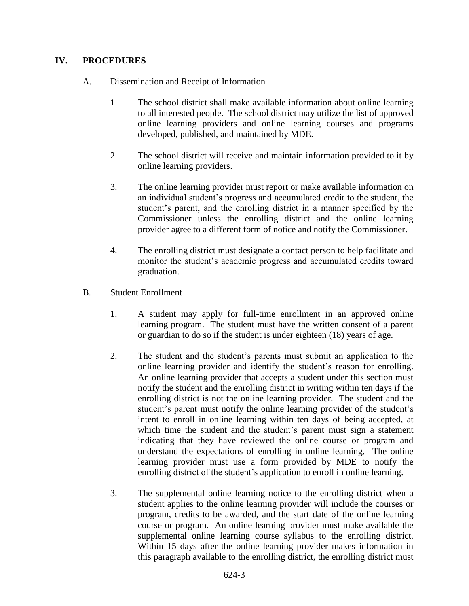# **IV. PROCEDURES**

### A. Dissemination and Receipt of Information

- 1. The school district shall make available information about online learning to all interested people. The school district may utilize the list of approved online learning providers and online learning courses and programs developed, published, and maintained by MDE.
- 2. The school district will receive and maintain information provided to it by online learning providers.
- 3. The online learning provider must report or make available information on an individual student's progress and accumulated credit to the student, the student's parent, and the enrolling district in a manner specified by the Commissioner unless the enrolling district and the online learning provider agree to a different form of notice and notify the Commissioner.
- 4. The enrolling district must designate a contact person to help facilitate and monitor the student's academic progress and accumulated credits toward graduation.

#### B. Student Enrollment

- 1. A student may apply for full-time enrollment in an approved online learning program. The student must have the written consent of a parent or guardian to do so if the student is under eighteen (18) years of age.
- 2. The student and the student's parents must submit an application to the online learning provider and identify the student's reason for enrolling. An online learning provider that accepts a student under this section must notify the student and the enrolling district in writing within ten days if the enrolling district is not the online learning provider. The student and the student's parent must notify the online learning provider of the student's intent to enroll in online learning within ten days of being accepted, at which time the student and the student's parent must sign a statement indicating that they have reviewed the online course or program and understand the expectations of enrolling in online learning. The online learning provider must use a form provided by MDE to notify the enrolling district of the student's application to enroll in online learning.
- 3. The supplemental online learning notice to the enrolling district when a student applies to the online learning provider will include the courses or program, credits to be awarded, and the start date of the online learning course or program. An online learning provider must make available the supplemental online learning course syllabus to the enrolling district. Within 15 days after the online learning provider makes information in this paragraph available to the enrolling district, the enrolling district must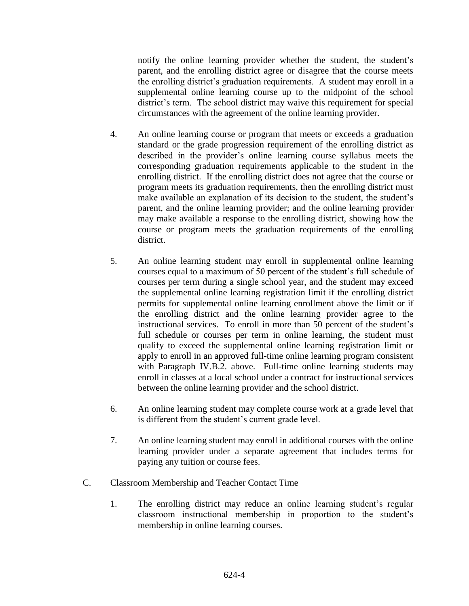notify the online learning provider whether the student, the student's parent, and the enrolling district agree or disagree that the course meets the enrolling district's graduation requirements. A student may enroll in a supplemental online learning course up to the midpoint of the school district's term. The school district may waive this requirement for special circumstances with the agreement of the online learning provider.

- 4. An online learning course or program that meets or exceeds a graduation standard or the grade progression requirement of the enrolling district as described in the provider's online learning course syllabus meets the corresponding graduation requirements applicable to the student in the enrolling district. If the enrolling district does not agree that the course or program meets its graduation requirements, then the enrolling district must make available an explanation of its decision to the student, the student's parent, and the online learning provider; and the online learning provider may make available a response to the enrolling district, showing how the course or program meets the graduation requirements of the enrolling district.
- 5. An online learning student may enroll in supplemental online learning courses equal to a maximum of 50 percent of the student's full schedule of courses per term during a single school year, and the student may exceed the supplemental online learning registration limit if the enrolling district permits for supplemental online learning enrollment above the limit or if the enrolling district and the online learning provider agree to the instructional services. To enroll in more than 50 percent of the student's full schedule or courses per term in online learning, the student must qualify to exceed the supplemental online learning registration limit or apply to enroll in an approved full-time online learning program consistent with Paragraph IV.B.2. above. Full-time online learning students may enroll in classes at a local school under a contract for instructional services between the online learning provider and the school district.
- 6. An online learning student may complete course work at a grade level that is different from the student's current grade level.
- 7. An online learning student may enroll in additional courses with the online learning provider under a separate agreement that includes terms for paying any tuition or course fees.
- C. Classroom Membership and Teacher Contact Time
	- 1. The enrolling district may reduce an online learning student's regular classroom instructional membership in proportion to the student's membership in online learning courses.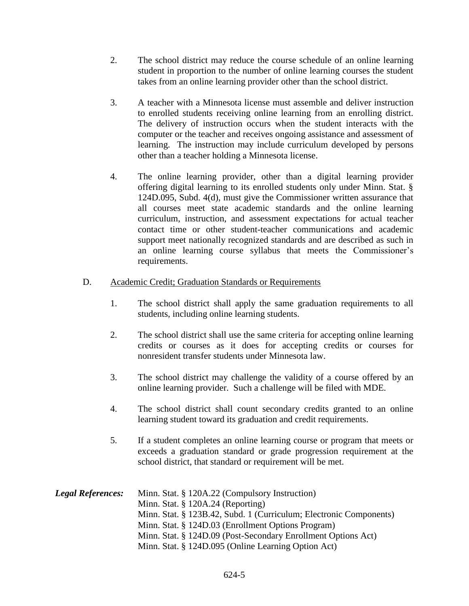- 2. The school district may reduce the course schedule of an online learning student in proportion to the number of online learning courses the student takes from an online learning provider other than the school district.
- 3. A teacher with a Minnesota license must assemble and deliver instruction to enrolled students receiving online learning from an enrolling district. The delivery of instruction occurs when the student interacts with the computer or the teacher and receives ongoing assistance and assessment of learning. The instruction may include curriculum developed by persons other than a teacher holding a Minnesota license.
- 4. The online learning provider, other than a digital learning provider offering digital learning to its enrolled students only under Minn. Stat. § 124D.095, Subd. 4(d), must give the Commissioner written assurance that all courses meet state academic standards and the online learning curriculum, instruction, and assessment expectations for actual teacher contact time or other student-teacher communications and academic support meet nationally recognized standards and are described as such in an online learning course syllabus that meets the Commissioner's requirements.

#### D. Academic Credit; Graduation Standards or Requirements

- 1. The school district shall apply the same graduation requirements to all students, including online learning students.
- 2. The school district shall use the same criteria for accepting online learning credits or courses as it does for accepting credits or courses for nonresident transfer students under Minnesota law.
- 3. The school district may challenge the validity of a course offered by an online learning provider. Such a challenge will be filed with MDE.
- 4. The school district shall count secondary credits granted to an online learning student toward its graduation and credit requirements.
- 5. If a student completes an online learning course or program that meets or exceeds a graduation standard or grade progression requirement at the school district, that standard or requirement will be met.

| <b>Legal References:</b> | Minn. Stat. § 120A.22 (Compulsory Instruction)                     |
|--------------------------|--------------------------------------------------------------------|
|                          | Minn. Stat. $\S$ 120A.24 (Reporting)                               |
|                          | Minn. Stat. § 123B.42, Subd. 1 (Curriculum; Electronic Components) |
|                          | Minn. Stat. § 124D.03 (Enrollment Options Program)                 |
|                          | Minn. Stat. § 124D.09 (Post-Secondary Enrollment Options Act)      |
|                          | Minn. Stat. § 124D.095 (Online Learning Option Act)                |